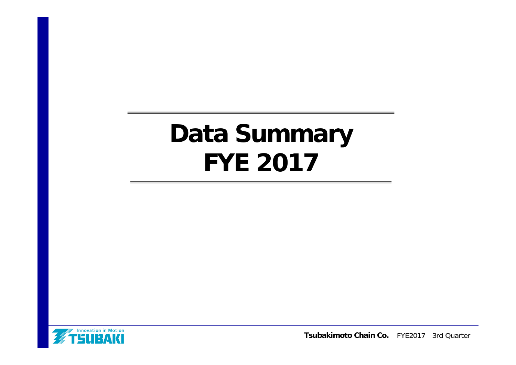# **Data Summary FYE 2017**



**Tsubakimoto Chain Co.** FYE2017 3rd Quarter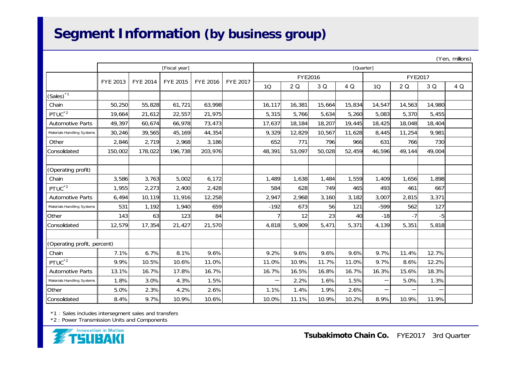# **Segment Information (by business group)**

| (Yen, millions) |
|-----------------|
|                 |

|                             | [Fiscal year]   |                 |                 |                 |                 |        | [Quarter]      |        |        |        |         |        |     |
|-----------------------------|-----------------|-----------------|-----------------|-----------------|-----------------|--------|----------------|--------|--------|--------|---------|--------|-----|
|                             | <b>FYE 2013</b> | <b>FYE 2014</b> | <b>FYE 2015</b> | <b>FYE 2016</b> | <b>FYE 2017</b> |        | <b>FYE2016</b> |        |        |        | FYE2017 |        |     |
|                             |                 |                 |                 |                 |                 | 10     | 2Q             | 3 Q    | 4 Q    | 10     | 2Q      | 3 Q    | 4 Q |
| $(Sales)^*$ <sup>1</sup>    |                 |                 |                 |                 |                 |        |                |        |        |        |         |        |     |
| Chain                       | 50,250          | 55,828          | 61,721          | 63,998          |                 | 16,117 | 16,381         | 15,664 | 15,834 | 14,547 | 14,563  | 14,980 |     |
| PTUC <sup>*2</sup>          | 19,664          | 21,612          | 22,557          | 21,975          |                 | 5,315  | 5,766          | 5,634  | 5,260  | 5,083  | 5,370   | 5,455  |     |
| <b>Automotive Parts</b>     | 49,397          | 60,674          | 66,978          | 73,473          |                 | 17,637 | 18,184         | 18,207 | 19,445 | 18,425 | 18,048  | 18,404 |     |
| Materials Handling Systems  | 30,246          | 39,565          | 45,169          | 44,354          |                 | 9,329  | 12,829         | 10,567 | 11,628 | 8,445  | 11,254  | 9,981  |     |
| Other                       | 2,846           | 2,719           | 2,968           | 3,186           |                 | 652    | 771            | 796    | 966    | 631    | 766     | 730    |     |
| Consolidated                | 150,002         | 178,022         | 196,738         | 203,976         |                 | 48,391 | 53,097         | 50,028 | 52,459 | 46,596 | 49,144  | 49,004 |     |
|                             |                 |                 |                 |                 |                 |        |                |        |        |        |         |        |     |
| (Operating profit)          |                 |                 |                 |                 |                 |        |                |        |        |        |         |        |     |
| Chain                       | 3,586           | 3,763           | 5,002           | 6,172           |                 | 1,489  | 1,638          | 1,484  | 1,559  | 1,409  | 1,656   | 1,898  |     |
| PTUC <sup>*2</sup>          | 1,955           | 2,273           | 2,400           | 2,428           |                 | 584    | 628            | 749    | 465    | 493    | 461     | 667    |     |
| <b>Automotive Parts</b>     | 6,494           | 10,119          | 11,916          | 12,258          |                 | 2,947  | 2,968          | 3,160  | 3,182  | 3,007  | 2,815   | 3,371  |     |
| Materials Handling Systems  | 531             | 1,192           | 1,940           | 659             |                 | $-192$ | 673            | 56     | 121    | $-599$ | 562     | 127    |     |
| Other                       | 143             | 63              | 123             | 84              |                 |        | 12             | 23     | 40     | $-18$  | $-7$    | $-5$   |     |
| Consolidated                | 12,579          | 17,354          | 21,427          | 21,570          |                 | 4,818  | 5,909          | 5,471  | 5,371  | 4,139  | 5,351   | 5,818  |     |
|                             |                 |                 |                 |                 |                 |        |                |        |        |        |         |        |     |
| (Operating profit, percent) |                 |                 |                 |                 |                 |        |                |        |        |        |         |        |     |
| Chain                       | 7.1%            | 6.7%            | 8.1%            | 9.6%            |                 | 9.2%   | 9.6%           | 9.6%   | 9.6%   | 9.7%   | 11.4%   | 12.7%  |     |
| PTUC <sup>*2</sup>          | 9.9%            | 10.5%           | 10.6%           | 11.0%           |                 | 11.0%  | 10.9%          | 11.7%  | 11.0%  | 9.7%   | 8.6%    | 12.2%  |     |
| <b>Automotive Parts</b>     | 13.1%           | 16.7%           | 17.8%           | 16.7%           |                 | 16.7%  | 16.5%          | 16.8%  | 16.7%  | 16.3%  | 15.6%   | 18.3%  |     |
| Materials Handling Systems  | 1.8%            | 3.0%            | 4.3%            | 1.5%            |                 | —      | 2.2%           | 1.6%   | 1.5%   |        | 5.0%    | 1.3%   |     |
| Other                       | 5.0%            | 2.3%            | 4.2%            | 2.6%            |                 | 1.1%   | 1.4%           | 1.9%   | 2.6%   |        |         |        |     |
| Consolidated                | 8.4%            | 9.7%            | 10.9%           | 10.6%           |                 | 10.0%  | 11.1%          | 10.9%  | 10.2%  | 8.9%   | 10.9%   | 11.9%  |     |

\*1 : Sales includes intersegment sales and transfers

\*2 : Power Transmission Units and Components

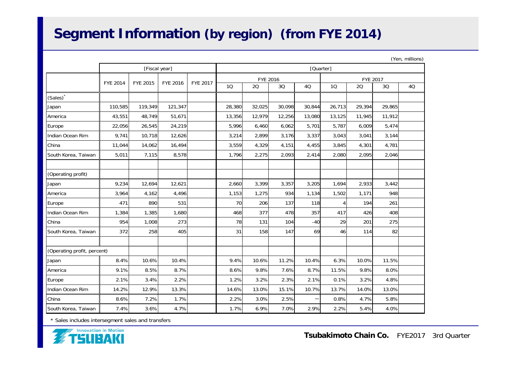# **Segment Information (by region) (from FYE 2014)**

|                             | (Yen, millions) |               |          |          |           |          |        |        |        |           |        |    |  |
|-----------------------------|-----------------|---------------|----------|----------|-----------|----------|--------|--------|--------|-----------|--------|----|--|
|                             |                 | [Fiscal year] |          |          | [Quarter] |          |        |        |        |           |        |    |  |
|                             | FYE 2014        | FYE 2015      | FYE 2016 | FYE 2017 |           | FYE 2016 |        |        |        | FYE 2017  |        |    |  |
|                             |                 |               |          |          | 10        | 20       | 3Q     | 4Q     | 10     | <b>2Q</b> | 3Q     | 4Q |  |
| (Sales)                     |                 |               |          |          |           |          |        |        |        |           |        |    |  |
| Japan                       | 110,585         | 119,349       | 121,347  |          | 28,380    | 32,025   | 30,098 | 30.844 | 26,713 | 29,394    | 29,865 |    |  |
| America                     | 43,551          | 48,749        | 51,671   |          | 13,356    | 12,979   | 12,256 | 13,080 | 13,125 | 11,945    | 11,912 |    |  |
| Europe                      | 22,056          | 26,545        | 24,219   |          | 5,996     | 6,460    | 6,062  | 5,701  | 5,787  | 6,009     | 5,474  |    |  |
| Indian Ocean Rim            | 9,741           | 10,718        | 12,626   |          | 3,214     | 2,899    | 3,176  | 3,337  | 3,043  | 3,041     | 3,144  |    |  |
| China                       | 11,044          | 14,062        | 16,494   |          | 3,559     | 4,329    | 4,151  | 4,455  | 3,845  | 4,301     | 4,781  |    |  |
| South Korea, Taiwan         | 5,011           | 7,115         | 8,578    |          | 1,796     | 2,275    | 2,093  | 2,414  | 2,080  | 2,095     | 2,046  |    |  |
| (Operating profit)          |                 |               |          |          |           |          |        |        |        |           |        |    |  |
| Japan                       | 9,234           | 12.694        | 12,621   |          | 2,660     | 3,399    | 3,357  | 3,205  | 1.694  | 2,933     | 3,442  |    |  |
| America                     | 3,964           | 4,162         | 4,496    |          | 1,153     | 1,275    | 934    | 1,134  | 1,502  | 1,171     | 948    |    |  |
| Europe                      | 471             | 890           | 531      |          | 70        | 206      | 137    | 118    | 4      | 194       | 261    |    |  |
| Indian Ocean Rim            | 1,384           | 1,385         | 1,680    |          | 468       | 377      | 478    | 357    | 417    | 426       | 408    |    |  |
| China                       | 954             | 1,008         | 273      |          | 78        | 131      | 104    | $-40$  | 29     | 201       | 275    |    |  |
| South Korea, Taiwan         | 372             | 258           | 405      |          | 31        | 158      | 147    | 69     | 46     | 114       | 82     |    |  |
| (Operating profit, percent) |                 |               |          |          |           |          |        |        |        |           |        |    |  |
| Japan                       | 8.4%            | 10.6%         | 10.4%    |          | 9.4%      | 10.6%    | 11.2%  | 10.4%  | 6.3%   | 10.0%     | 11.5%  |    |  |
| America                     | 9.1%            | 8.5%          | 8.7%     |          | 8.6%      | 9.8%     | 7.6%   | 8.7%   | 11.5%  | 9.8%      | 8.0%   |    |  |
| Europe                      | 2.1%            | 3.4%          | 2.2%     |          | 1.2%      | 3.2%     | 2.3%   | 2.1%   | 0.1%   | 3.2%      | 4.8%   |    |  |
| Indian Ocean Rim            | 14.2%           | 12.9%         | 13.3%    |          | 14.6%     | 13.0%    | 15.1%  | 10.7%  | 13.7%  | 14.0%     | 13.0%  |    |  |
| China                       | 8.6%            | 7.2%          | 1.7%     |          | 2.2%      | 3.0%     | 2.5%   |        | 0.8%   | 4.7%      | 5.8%   |    |  |
| South Korea, Taiwan         | 7.4%            | 3.6%          | 4.7%     |          | 1.7%      | 6.9%     | 7.0%   | 2.9%   | 2.2%   | 5.4%      | 4.0%   |    |  |

\* Sales includes intersegment sales and transfers

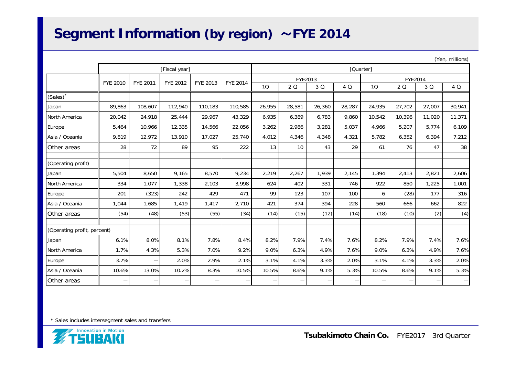## **Segment Information (by region)** ~**FYE 2014**

|                             |               |                                  |         |                          |         |         |           |                 |         |        |        |        | $($ ren, millions) |  |
|-----------------------------|---------------|----------------------------------|---------|--------------------------|---------|---------|-----------|-----------------|---------|--------|--------|--------|--------------------|--|
|                             | [Fiscal year] |                                  |         |                          |         |         | [Quarter] |                 |         |        |        |        |                    |  |
|                             | FYE 2010      | FYE 2012<br>FYE 2011<br>FYE 2013 |         | <b>FYE 2014</b>          |         | FYE2013 |           |                 | FYE2014 |        |        |        |                    |  |
|                             |               |                                  |         |                          |         | 10      | 2Q        | 3 Q             | 4 Q     | 1Q     | 2 Q    | 3 Q    | 4 Q                |  |
| (Sales)                     |               |                                  |         |                          |         |         |           |                 |         |        |        |        |                    |  |
| Japan                       | 89,863        | 108,607                          | 112,940 | 110,183                  | 110,585 | 26,955  | 28,581    | 26,360          | 28,287  | 24,935 | 27,702 | 27,007 | 30,941             |  |
| North America               | 20,042        | 24,918                           | 25,444  | 29,967                   | 43,329  | 6,935   | 6,389     | 6,783           | 9,860   | 10,542 | 10,396 | 11,020 | 11,371             |  |
| Europe                      | 5,464         | 10,966                           | 12,335  | 14,566                   | 22,056  | 3,262   | 2,986     | 3,281           | 5,037   | 4,966  | 5,207  | 5,774  | 6,109              |  |
| Asia / Oceania              | 9,819         | 12,972                           | 13,910  | 17,027                   | 25,740  | 4,012   | 4,346     | 4,348           | 4,321   | 5,782  | 6,352  | 6,394  | 7,212              |  |
| Other areas                 | 28            | 72                               | 89      | 95                       | 222     | 13      | 10        | 43              | 29      | 61     | 76     | 47     | 38                 |  |
| (Operating profit)          |               |                                  |         |                          |         |         |           |                 |         |        |        |        |                    |  |
| Japan                       | 5,504         | 8,650                            | 9,165   | 8,570                    | 9,234   | 2,219   | 2,267     | 1,939           | 2,145   | 1,394  | 2,413  | 2,821  | 2,606              |  |
| North America               | 334           | 1,077                            | 1,338   | 2,103                    | 3,998   | 624     | 402       | 331             | 746     | 922    | 850    | 1,225  | 1,001              |  |
| Europe                      | 201           | (323)                            | 242     | 429                      | 471     | 99      | 123       | 107             | 100     | 6      | (28)   | 177    | 316                |  |
| Asia / Oceania              | 1,044         | 1,685                            | 1,419   | 1,417                    | 2,710   | 421     | 374       | 394             | 228     | 560    | 666    | 662    | 822                |  |
| Other areas                 | (54)          | (48)                             | (53)    | (55)                     | (34)    | (14)    | (15)      | (12)            | (14)    | (18)   | (10)   | (2)    | (4)                |  |
| (Operating profit, percent) |               |                                  |         |                          |         |         |           |                 |         |        |        |        |                    |  |
| Japan                       | 6.1%          | 8.0%                             | 8.1%    | 7.8%                     | 8.4%    | 8.2%    | 7.9%      | 7.4%            | 7.6%    | 8.2%   | 7.9%   | 7.4%   | 7.6%               |  |
| North America               | 1.7%          | 4.3%                             | 5.3%    | 7.0%                     | 9.2%    | 9.0%    | 6.3%      | 4.9%            | 7.6%    | 9.0%   | 6.3%   | 4.9%   | 7.6%               |  |
| Europe                      | 3.7%          |                                  | 2.0%    | 2.9%                     | 2.1%    | 3.1%    | 4.1%      | 3.3%            | 2.0%    | 3.1%   | 4.1%   | 3.3%   | 2.0%               |  |
| Asia / Oceania              | 10.6%         | 13.0%                            | 10.2%   | 8.3%                     | 10.5%   | 10.5%   | 8.6%      | 9.1%            | 5.3%    | 10.5%  | 8.6%   | 9.1%   | 5.3%               |  |
| Other areas                 | —             |                                  |         | $\overline{\phantom{0}}$ |         | —       |           | $\qquad \qquad$ |         | -      | —      |        |                    |  |

 $(Y_n, n)$  millions)

\* Sales includes intersegment sales and transfers

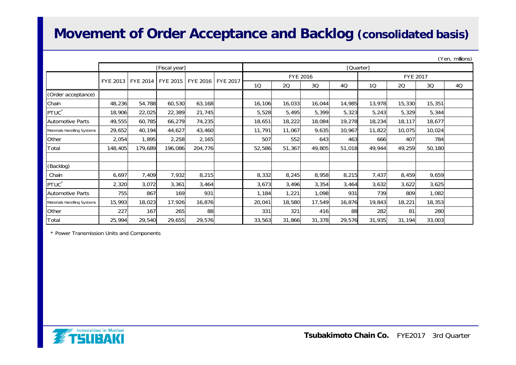### **Movement of Order Acceptance and Backlog (consolidated basis)**

|                            |         |                                |               |                 |                 | (Yen, millions, |                 |        |        |        |                 |        |    |  |
|----------------------------|---------|--------------------------------|---------------|-----------------|-----------------|-----------------|-----------------|--------|--------|--------|-----------------|--------|----|--|
|                            |         |                                | [Fiscal year] |                 |                 | [Quarter]       |                 |        |        |        |                 |        |    |  |
|                            |         | FYE 2013   FYE 2014   FYE 2015 |               | <b>FYE 2016</b> | <b>FYE 2017</b> |                 | <b>FYE 2016</b> |        |        |        | <b>FYE 2017</b> |        |    |  |
|                            |         |                                |               |                 |                 | 10              | 20              | 3Q     | 4Q     | 10     | 20              | 3Q     | 4Q |  |
| (Order acceptance)         |         |                                |               |                 |                 |                 |                 |        |        |        |                 |        |    |  |
| Chain                      | 48,236  | 54,788                         | 60,530        | 63,168          |                 | 16,106          | 16,033          | 16,044 | 14,985 | 13,978 | 15,330          | 15,351 |    |  |
| PTUC <sup>*</sup>          | 18,906  | 22,025                         | 22,389        | 21,745          |                 | 5,528           | 5,495           | 5,399  | 5,323  | 5,243  | 5,329           | 5,344  |    |  |
| <b>Automotive Parts</b>    | 49,555  | 60,785                         | 66,279        | 74,235          |                 | 18,651          | 18,222          | 18,084 | 19,278 | 18,234 | 18,117          | 18,677 |    |  |
| Materials Handling Systems | 29,652  | 40,194                         | 44,627        | 43,460          |                 | 11,791          | 11,067          | 9,635  | 10,967 | 11,822 | 10,075          | 10,024 |    |  |
| Other                      | 2,054   | 1,895                          | 2,258         | 2,165           |                 | 507             | 552             | 643    | 463    | 666    | 407             | 784    |    |  |
| Total                      | 148,405 | 179,689                        | 196,086       | 204,776         |                 | 52,586          | 51,367          | 49,805 | 51,018 | 49,944 | 49,259          | 50,180 |    |  |
|                            |         |                                |               |                 |                 |                 |                 |        |        |        |                 |        |    |  |
| (Backlog)                  |         |                                |               |                 |                 |                 |                 |        |        |        |                 |        |    |  |
| Chain                      | 6,697   | 7,409                          | 7,932         | 8,215           |                 | 8,332           | 8,245           | 8,958  | 8,215  | 7,437  | 8,459           | 9,659  |    |  |
| PTUC <sup>*</sup>          | 2,320   | 3,072                          | 3,361         | 3,464           |                 | 3,673           | 3,496           | 3,354  | 3,464  | 3,632  | 3,622           | 3,625  |    |  |
| <b>Automotive Parts</b>    | 755     | 867                            | 169           | 931             |                 | 1,184           | 1,221           | 1,098  | 931    | 739    | 809             | 1,082  |    |  |
| Materials Handling Systems | 15,993  | 18,023                         | 17,926        | 16,876          |                 | 20,041          | 18,580          | 17,549 | 16,876 | 19,843 | 18,221          | 18,353 |    |  |
| Other                      | 227     | 167                            | 265           | 88              |                 | 331             | 321             | 416    | 88     | 282    | 81              | 280    |    |  |
| Total                      | 25,994  | 29,540                         | 29,655        | 29,576          |                 | 33,563          | 31,866          | 31,378 | 29,576 | 31,935 | 31,194          | 33,003 |    |  |

\* Power Transmission Units and Components



 $\alpha$ .